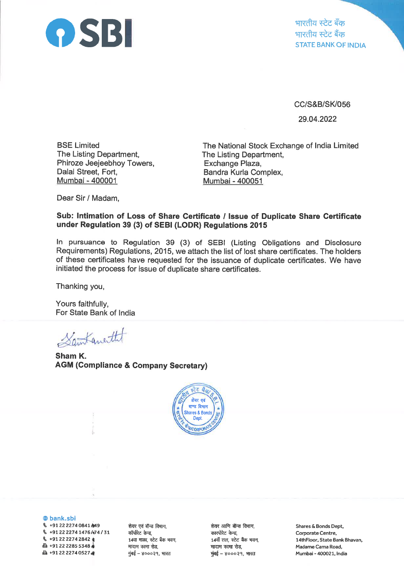

भारतीय स्टेट बँक भारतीय स्टेट बैंक STATE BANK OF INDIA

CC/S&B/SK/056 29.04.2022

BSE Limited The Listing Department, Phiroze Jeejeebhoy Towers, Dalal Street, Fort, Mumbai - 400001

The National Stock Exchange of lndia Limited The Listing Department, Exchange Plaza, Bandra Kurla Complex, Mumbai - 400051

Dear Sir / Madam,

## Sub: lntimation of Loss of Share Gertificate / lssue of Duplicate Share Certificate under Regulation 39 (3) of SEBI (LODR) Regulations <sup>2015</sup>

ln pursuance to Regulation 39 (3) of SEBI (Listing Obligations and Disclosure Requirements) Regulations, 2015, we attach the list of lost share certificates. The holders of these certificates have requested for the issuance of duplicate certificates. We have initiated the process for issue of duplicate share certificates.

Thanking you,

Yours faithfully, For State Bank of lndia

Santanetht

i,

Sham K. AGM (Compliance & Company Secretary)



@ bank.sbi

§ +91 22 2274 0841 / 49  $\%$  +91 22 2274 1476 /474 / 31  $\%$  +91 22 2274 2842  $*$  $\Delta$  +91 22 2285 5348  $\ast$ **△+912222740527 卷** 

शेयर एवं बॉन्ड विभाग, कॉर्पोरेट केन्द्र, 14वा माळा, स्टेट बँक भवन, मादाम कामा रोड, मुंबई – ४०००२१, भारत

शेयर आणि बॉन्ड विभाग, कारपोरेट केन्द्र, 14वॉं तल, स्टेट बैंक भवन, मादाम कामा रोड,  $\frac{1}{2}$ बई – ४०००२१, भारत

Shares & Bonds Dept, Corporate Centre, l4thFloor, State Bank Bhavan, Madame Cama Road, Mumbai - 400021, India